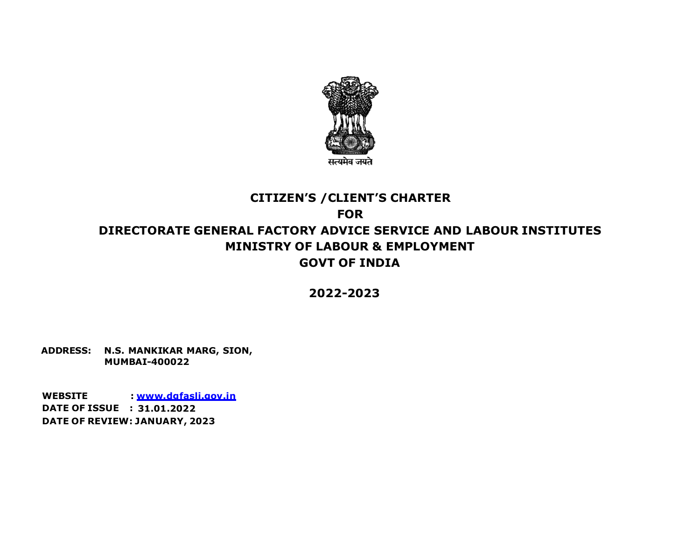

# **CITIZEN'S /CLIENT'S CHARTER FOR DIRECTORATE GENERAL FACTORY ADVICE SERVICE AND LABOUR INSTITUTES MINISTRY OF LABOUR & EMPLOYMENT GOVT OF INDIA**

**2022-2023**

**ADDRESS: N.S. MANKIKAR MARG, SION, MUMBAI-400022**

**WEBSITE : www.dgfasli.gov.in DATE OF ISSUE : 31.01.2022 DATE OF REVIEW: JANUARY, 2023**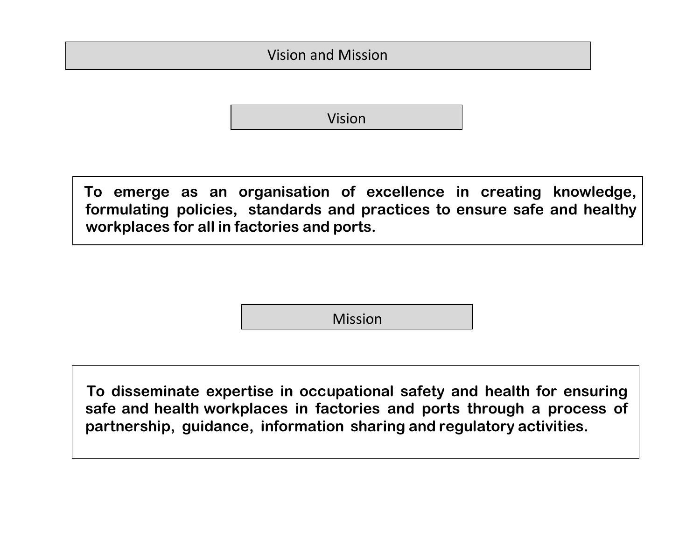Vision and Mission

Vision

**To emerge as an organisation of excellence in creating knowledge, formulating policies, standards and practices to ensure safe and healthy workplaces for all in factories and ports.**

Mission

 **To disseminate expertise in occupational safety and health for ensuring safe and health workplaces in factories and ports through a process of partnership, guidance, information sharing and regulatory activities.**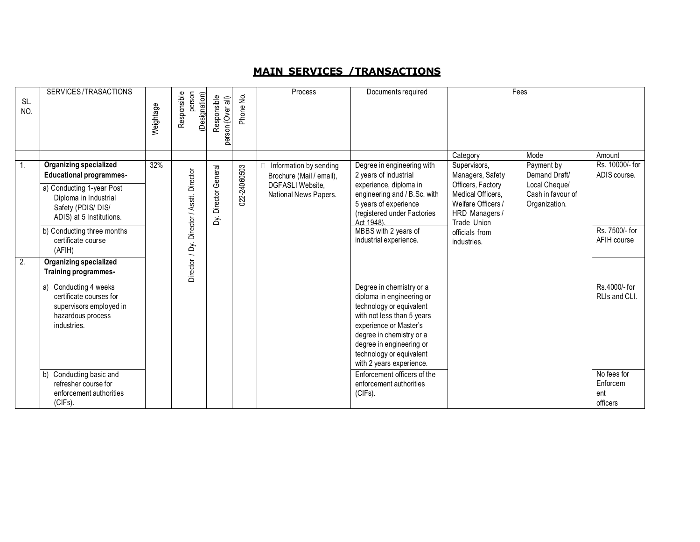# **MAIN SERVICE S /TRANS ACTIONS**

| SL.<br>NO.     | SERVICES/TRASACTIONS                                                                                | Weightage | person<br>Responsible<br>(Designation) | Responsible<br>person {Over all) | Phone No. | Process                                            | Documents required                                     | Fees                             |                             |                                 |  |  |  |  |  |  |  |                                           |                                                                                                                              |                                                                                              |                                                     |  |
|----------------|-----------------------------------------------------------------------------------------------------|-----------|----------------------------------------|----------------------------------|-----------|----------------------------------------------------|--------------------------------------------------------|----------------------------------|-----------------------------|---------------------------------|--|--|--|--|--|--|--|-------------------------------------------|------------------------------------------------------------------------------------------------------------------------------|----------------------------------------------------------------------------------------------|-----------------------------------------------------|--|
|                |                                                                                                     |           |                                        |                                  |           |                                                    |                                                        | Category                         | Mode                        | Amount                          |  |  |  |  |  |  |  |                                           |                                                                                                                              |                                                                                              |                                                     |  |
| $\mathbf{1}$ . | <b>Organizing specialized</b><br><b>Educational programmes-</b>                                     | 32%       |                                        |                                  |           | Information by sending<br>Brochure (Mail / email), | Degree in engineering with<br>2 years of industrial    | Supervisors,<br>Managers, Safety | Payment by<br>Demand Draft/ | Rs. 10000/- for<br>ADIS course. |  |  |  |  |  |  |  |                                           |                                                                                                                              |                                                                                              |                                                     |  |
|                | a) Conducting 1-year Post<br>Diploma in Industrial<br>Safety (PDIS/DIS/<br>ADIS) at 5 Institutions. |           | / Dy. Director / Asstt. Director       |                                  |           | Dy. Director General                               |                                                        |                                  | 022-24060503                |                                 |  |  |  |  |  |  |  | DGFASLI Website.<br>National News Papers. | experience, diploma in<br>engineering and / B.Sc. with<br>5 years of experience<br>(registered under Factories<br>Act 1948). | Officers, Factory<br>Medical Officers.<br>Welfare Officers /<br>HRD Managers/<br>Trade Union | Local Cheque/<br>Cash in favour of<br>Organization. |  |
|                | b) Conducting three months<br>certificate course<br>(AFIH)                                          |           |                                        |                                  |           |                                                    | MBBS with 2 years of<br>industrial experience.         | officials from<br>industries.    |                             | Rs. 7500/- for<br>AFIH course   |  |  |  |  |  |  |  |                                           |                                                                                                                              |                                                                                              |                                                     |  |
| 2.             | <b>Organizing specialized</b><br>Training programmes-                                               |           | Director                               |                                  |           |                                                    |                                                        |                                  |                             |                                 |  |  |  |  |  |  |  |                                           |                                                                                                                              |                                                                                              |                                                     |  |
|                | a) Conducting 4 weeks                                                                               |           |                                        |                                  |           |                                                    | Degree in chemistry or a                               |                                  |                             | Rs.4000/- for                   |  |  |  |  |  |  |  |                                           |                                                                                                                              |                                                                                              |                                                     |  |
|                | certificate courses for                                                                             |           |                                        |                                  |           |                                                    | diploma in engineering or                              |                                  |                             | RLIs and CLI.                   |  |  |  |  |  |  |  |                                           |                                                                                                                              |                                                                                              |                                                     |  |
|                | supervisors employed in                                                                             |           |                                        |                                  |           |                                                    | technology or equivalent                               |                                  |                             |                                 |  |  |  |  |  |  |  |                                           |                                                                                                                              |                                                                                              |                                                     |  |
|                | hazardous process<br>industries.                                                                    |           |                                        |                                  |           |                                                    | with not less than 5 years<br>experience or Master's   |                                  |                             |                                 |  |  |  |  |  |  |  |                                           |                                                                                                                              |                                                                                              |                                                     |  |
|                |                                                                                                     |           |                                        |                                  |           |                                                    | degree in chemistry or a                               |                                  |                             |                                 |  |  |  |  |  |  |  |                                           |                                                                                                                              |                                                                                              |                                                     |  |
|                |                                                                                                     |           |                                        |                                  |           |                                                    | degree in engineering or                               |                                  |                             |                                 |  |  |  |  |  |  |  |                                           |                                                                                                                              |                                                                                              |                                                     |  |
|                |                                                                                                     |           |                                        |                                  |           |                                                    | technology or equivalent                               |                                  |                             |                                 |  |  |  |  |  |  |  |                                           |                                                                                                                              |                                                                                              |                                                     |  |
|                |                                                                                                     |           |                                        |                                  |           |                                                    | with 2 years experience.                               |                                  |                             |                                 |  |  |  |  |  |  |  |                                           |                                                                                                                              |                                                                                              |                                                     |  |
|                | b) Conducting basic and<br>refresher course for                                                     |           |                                        |                                  |           |                                                    | Enforcement officers of the<br>enforcement authorities |                                  |                             | No fees for<br>Enforcem         |  |  |  |  |  |  |  |                                           |                                                                                                                              |                                                                                              |                                                     |  |
|                | enforcement authorities                                                                             |           |                                        |                                  |           |                                                    | (CIFs).                                                |                                  |                             | ent                             |  |  |  |  |  |  |  |                                           |                                                                                                                              |                                                                                              |                                                     |  |
|                | (CIFs).                                                                                             |           |                                        |                                  |           |                                                    |                                                        |                                  |                             | officers                        |  |  |  |  |  |  |  |                                           |                                                                                                                              |                                                                                              |                                                     |  |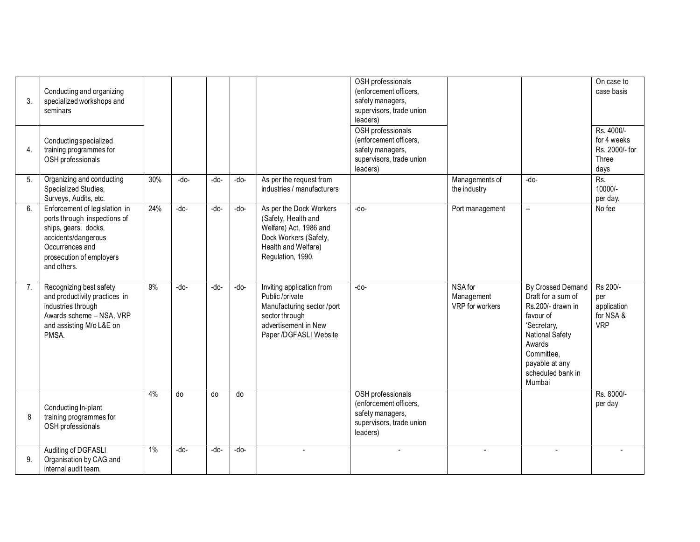| 3. | Conducting and organizing<br>specialized workshops and<br>seminars                                                                                                         |     |      |      |      |                                                                                                                                                | OSH professionals<br>(enforcement officers,<br>safety managers,<br>supervisors, trade union<br>leaders) |                                          |                                                                                                                                                                                      | On case to<br>case basis                                     |
|----|----------------------------------------------------------------------------------------------------------------------------------------------------------------------------|-----|------|------|------|------------------------------------------------------------------------------------------------------------------------------------------------|---------------------------------------------------------------------------------------------------------|------------------------------------------|--------------------------------------------------------------------------------------------------------------------------------------------------------------------------------------|--------------------------------------------------------------|
| 4. | Conducting specialized<br>training programmes for<br>OSH professionals                                                                                                     |     |      |      |      |                                                                                                                                                | OSH professionals<br>(enforcement officers,<br>safety managers,<br>supervisors, trade union<br>leaders) |                                          |                                                                                                                                                                                      | Rs. 4000/-<br>for 4 weeks<br>Rs. 2000/- for<br>Three<br>days |
| 5. | Organizing and conducting<br>Specialized Studies,<br>Surveys, Audits, etc.                                                                                                 | 30% | -do- | -do- | -do- | As per the request from<br>industries / manufacturers                                                                                          |                                                                                                         | Managements of<br>the industry           | -do-                                                                                                                                                                                 | Rs.<br>10000/-<br>per day.                                   |
| 6. | Enforcement of legislation in<br>ports through inspections of<br>ships, gears, docks,<br>accidents/dangerous<br>Occurrences and<br>prosecution of employers<br>and others. | 24% | -do- | -do- | -do- | As per the Dock Workers<br>(Safety, Health and<br>Welfare) Act, 1986 and<br>Dock Workers (Safety,<br>Health and Welfare)<br>Regulation, 1990.  | -do-                                                                                                    | Port management                          | $\overline{\phantom{a}}$                                                                                                                                                             | No fee                                                       |
| 7. | Recognizing best safety<br>and productivity practices in<br>industries through<br>Awards scheme - NSA, VRP<br>and assisting M/o L&E on<br>PMSA.                            | 9%  | -do- | -do- | -do- | Inviting application from<br>Public /private<br>Manufacturing sector /port<br>sector through<br>advertisement in New<br>Paper /DGFASLI Website | -do-                                                                                                    | NSA for<br>Management<br>VRP for workers | By Crossed Demand<br>Draft for a sum of<br>Rs.200/- drawn in<br>favour of<br>'Secretary,<br>National Safety<br>Awards<br>Committee,<br>payable at any<br>scheduled bank in<br>Mumbai | Rs 200/-<br>per<br>application<br>for NSA &<br><b>VRP</b>    |
| 8  | Conducting In-plant<br>training programmes for<br>OSH professionals                                                                                                        | 4%  | do   | do   | do   |                                                                                                                                                | OSH professionals<br>(enforcement officers,<br>safety managers,<br>supervisors, trade union<br>leaders) |                                          |                                                                                                                                                                                      | Rs. 8000/-<br>per day                                        |
| 9. | Auditing of DGFASLI<br>Organisation by CAG and<br>internal audit team.                                                                                                     | 1%  | -do- | -do- | -do- |                                                                                                                                                |                                                                                                         |                                          |                                                                                                                                                                                      |                                                              |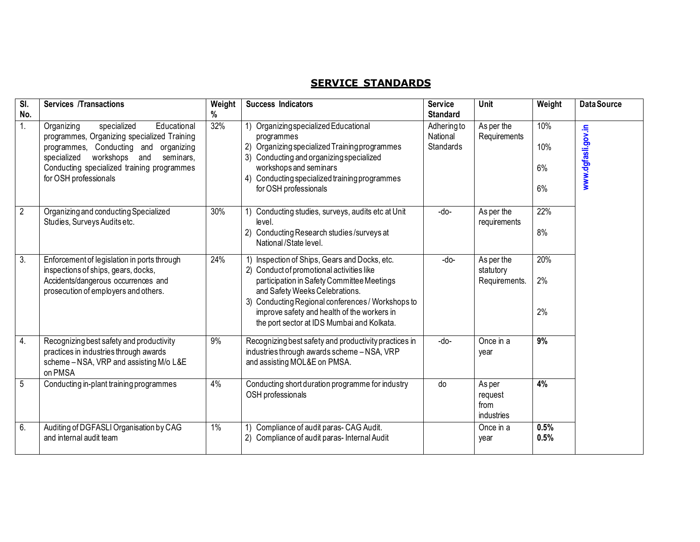# **SERVICE STANDARDS**

| $\overline{\mathsf{SI}}$ .<br>No. | <b>Services /Transactions</b>                                                                                                                                                                                                                           | Weight<br>% | <b>Success Indicators</b>                                                                                                                                                                                                                                                                                              | <b>Service</b><br><b>Standard</b>          | Unit                                     | Weight                 | <b>Data Source</b> |
|-----------------------------------|---------------------------------------------------------------------------------------------------------------------------------------------------------------------------------------------------------------------------------------------------------|-------------|------------------------------------------------------------------------------------------------------------------------------------------------------------------------------------------------------------------------------------------------------------------------------------------------------------------------|--------------------------------------------|------------------------------------------|------------------------|--------------------|
| 1.                                | specialized<br>Educational<br>Organizing<br>programmes, Organizing specialized Training<br>programmes, Conducting and organizing<br>workshops<br>specialized<br>and<br>seminars,<br>Conducting specialized training programmes<br>for OSH professionals | 32%         | 1) Organizing specialized Educational<br>programmes<br>2) Organizing specialized Training programmes<br>3) Conducting and organizing specialized<br>workshops and seminars<br>Conducting specialized training programmes<br>4)<br>for OSH professionals                                                                | Adheringto<br>National<br><b>Standards</b> | As per the<br>Requirements               | 10%<br>10%<br>6%<br>6% | www.dgfasli.gov.in |
| $\overline{2}$                    | Organizing and conducting Specialized<br>Studies, Surveys Audits etc.                                                                                                                                                                                   | 30%         | Conducting studies, surveys, audits etc at Unit<br>level.<br>2) Conducting Research studies/surveys at<br>National/State level.                                                                                                                                                                                        | -do-                                       | As per the<br>requirements               | 22%<br>8%              |                    |
| $\overline{3}$ .                  | Enforcement of legislation in ports through<br>inspections of ships, gears, docks,<br>Accidents/dangerous occurrences and<br>prosecution of employers and others.                                                                                       | 24%         | Inspection of Ships, Gears and Docks, etc.<br>2) Conduct of promotional activities like<br>participation in Safety Committee Meetings<br>and Safety Weeks Celebrations.<br>Conducting Regional conferences / Workshops to<br>improve safety and health of the workers in<br>the port sector at IDS Mumbai and Kolkata. | -do-                                       | As per the<br>statutory<br>Requirements. | 20%<br>2%<br>2%        |                    |
| 4.                                | Recognizing best safety and productivity<br>practices in industries through awards<br>scheme - NSA, VRP and assisting M/o L&E<br>on PMSA                                                                                                                | 9%          | Recognizing best safety and productivity practices in<br>industries through awards scheme - NSA, VRP<br>and assisting MOL&E on PMSA.                                                                                                                                                                                   | -do-                                       | Once in a<br>year                        | 9%                     |                    |
| 5                                 | Conducting in-plant training programmes                                                                                                                                                                                                                 | 4%          | Conducting short duration programme for industry<br>OSH professionals                                                                                                                                                                                                                                                  | do                                         | As per<br>request<br>from<br>industries  | 4%                     |                    |
| 6.                                | Auditing of DGFASLI Organisation by CAG<br>and internal audit team                                                                                                                                                                                      | 1%          | Compliance of audit paras- CAG Audit.<br>1)<br>2) Compliance of audit paras-Internal Audit                                                                                                                                                                                                                             |                                            | Once in a<br>year                        | 0.5%<br>0.5%           |                    |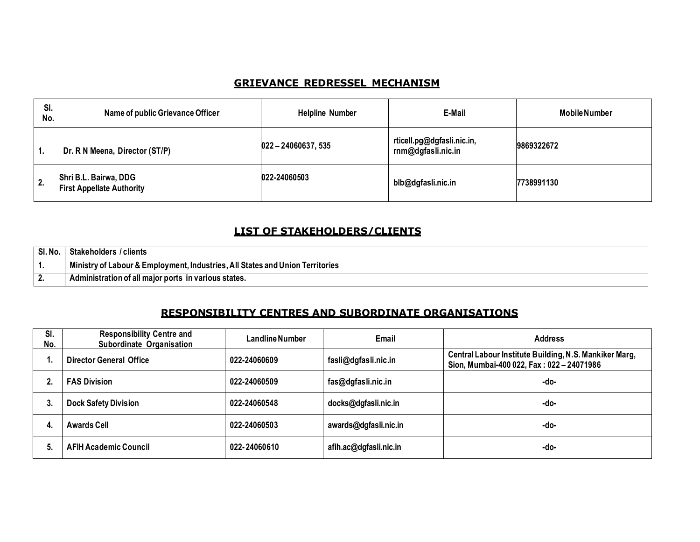#### **GRIEVANCE REDRESSEL MECHANISM**

| SI.<br>No. | Name of public Grievance Officer                          | <b>Helpline Number</b> | E-Mail                                           | <b>Mobile Number</b> |
|------------|-----------------------------------------------------------|------------------------|--------------------------------------------------|----------------------|
| Ί.         | Dr. R N Meena, Director (ST/P)                            | $022 - 24060637, 535$  | rticell.pg@dgfasli.nic.in,<br>rnm@dgfasli.nic.in | 9869322672           |
| 2.         | Shri B.L. Bairwa, DDG<br><b>First Appellate Authority</b> | 022-24060503           | blb@dgfasli.nic.in                               | 7738991130           |

#### **LIST OF STAKEHOLDERS/CLIENTS**

| SI.No | Stakeholders / clients                                                        |
|-------|-------------------------------------------------------------------------------|
|       | Ministry of Labour & Employment, Industries, All States and Union Territories |
|       | Administration of all major ports in various states.                          |

### **RESPONSIBILITY CENTRES AND SUBORDINATE ORGANISATIONS**

| SI.<br>No. | <b>Responsibility Centre and</b><br>Subordinate Organisation | <b>Landline Number</b> | Email                  | <b>Address</b>                                                                                    |
|------------|--------------------------------------------------------------|------------------------|------------------------|---------------------------------------------------------------------------------------------------|
|            | Director General Office                                      | 022-24060609           | fasli@dgfasli.nic.in   | Central Labour Institute Building, N.S. Mankiker Marg,<br>Sion, Mumbai-400 022, Fax: 022-24071986 |
|            | <b>FAS Division</b>                                          | 022-24060509           | fas@dgfasli.nic.in     | -do-                                                                                              |
| 3.         | <b>Dock Safety Division</b>                                  | 022-24060548           | docks@dgfasli.nic.in   | -do-                                                                                              |
| 4.         | <b>Awards Cell</b>                                           | 022-24060503           | awards@dgfasli.nic.in  | -do-                                                                                              |
|            | <b>AFIH Academic Council</b>                                 | 022-24060610           | afih.ac@dgfasli.nic.in | -do-                                                                                              |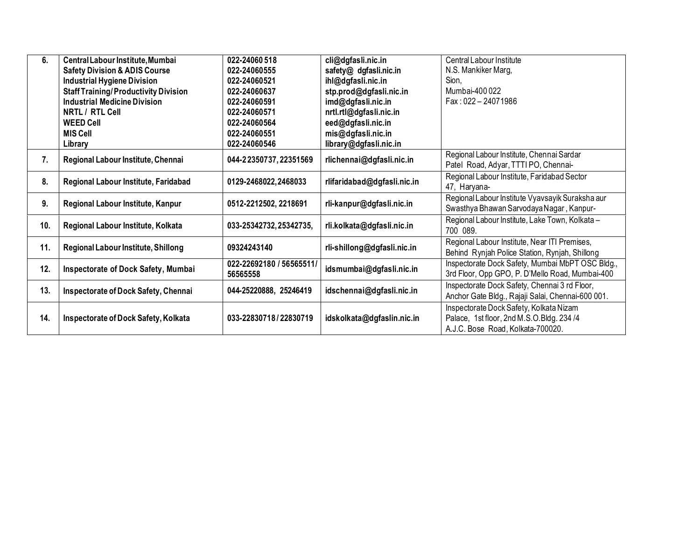| 6.                                                 | Central Labour Institute, Mumbai            | 022-24060 518            | cli@dgfasli.nic.in          | Central Labour Institute                          |
|----------------------------------------------------|---------------------------------------------|--------------------------|-----------------------------|---------------------------------------------------|
|                                                    | <b>Safety Division &amp; ADIS Course</b>    | 022-24060555             | safety@ dgfasli.nic.in      | N.S. Mankiker Marg,                               |
|                                                    | <b>Industrial Hygiene Division</b>          | 022-24060521             | ihl@dgfasli.nic.in          | Sion.                                             |
|                                                    | <b>Staff Training/Productivity Division</b> | 022-24060637             | stp.prod@dgfasli.nic.in     | Mumbai-400022                                     |
|                                                    | <b>Industrial Medicine Division</b>         | 022-24060591             | imd@dgfasli.nic.in          | Fax: 022 - 24071986                               |
|                                                    | NRTL / RTL Cell                             | 022-24060571             | nrtl.rtl@dgfasli.nic.in     |                                                   |
|                                                    | <b>WEED Cell</b>                            | 022-24060564             | eed@dgfasli.nic.in          |                                                   |
|                                                    | <b>MIS Cell</b>                             | 022-24060551             | mis@dgfasli.nic.in          |                                                   |
|                                                    | Library                                     | 022-24060546             | library@dgfasli.nic.in      |                                                   |
| 7.                                                 | Regional Labour Institute, Chennai          | 044-22350737, 22351569   | rlichennai@dgfasli.nic.in   | Regional Labour Institute, Chennai Sardar         |
|                                                    |                                             |                          |                             | Patel Road, Adyar, TTTI PO, Chennai-              |
| 8.                                                 | Regional Labour Institute, Faridabad        |                          | rlifaridabad@dgfasli.nic.in | Regional Labour Institute, Faridabad Sector       |
|                                                    |                                             | 0129-2468022,2468033     |                             | 47, Haryana-                                      |
| 9.                                                 | Regional Labour Institute, Kanpur           | 0512-2212502, 2218691    | rli-kanpur@dgfasli.nic.in   | Regional Labour Institute Vyavsayik Suraksha aur  |
|                                                    |                                             |                          |                             | Swasthya Bhawan Sarvodaya Nagar, Kanpur-          |
| 10.                                                | Regional Labour Institute, Kolkata          |                          | rli.kolkata@dgfasli.nic.in  | Regional Labour Institute, Lake Town, Kolkata -   |
|                                                    |                                             | 033-25342732, 25342735,  |                             | 700 089.                                          |
| 11.                                                | Regional Labour Institute, Shillong         | 09324243140              |                             | Regional Labour Institute, Near ITI Premises,     |
|                                                    |                                             |                          | rli-shillong@dgfasli.nic.in | Behind Rynjah Police Station, Rynjah, Shillong    |
| 12.                                                | Inspectorate of Dock Safety, Mumbai         | 022-22692180 / 56565511/ | idsmumbai@dgfasli.nic.in    | Inspectorate Dock Safety, Mumbai MbPT OSC Bldg.,  |
|                                                    |                                             | 56565558                 |                             | 3rd Floor, Opp GPO, P. D'Mello Road, Mumbai-400   |
| 13.                                                |                                             | 044-25220888, 25246419   |                             | Inspectorate Dock Safety, Chennai 3 rd Floor,     |
|                                                    | Inspectorate of Dock Safety, Chennai        |                          | idschennai@dgfasli.nic.in   | Anchor Gate Bldg., Rajaji Salai, Chennai-600 001. |
|                                                    |                                             |                          |                             | Inspectorate Dock Safety, Kolkata Nizam           |
| 14.<br><b>Inspectorate of Dock Safety, Kolkata</b> |                                             | 033-22830718/22830719    | idskolkata@dgfaslin.nic.in  | Palace, 1st floor, 2nd M.S.O.Bldg. 234/4          |
|                                                    |                                             |                          |                             | A.J.C. Bose Road, Kolkata-700020.                 |